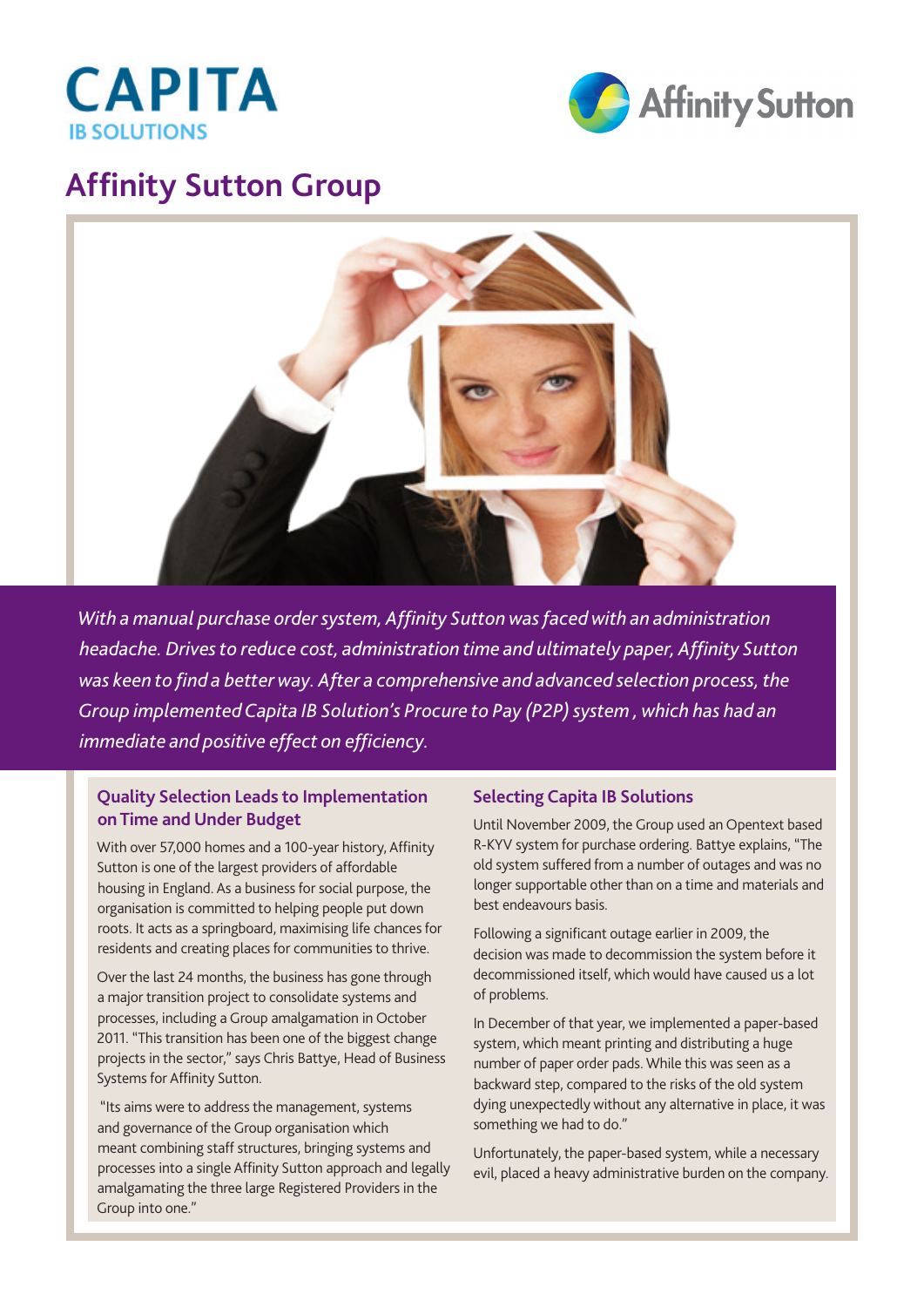



## **Affinity Sutton Group**



*With a manual purchase order system, Affinity Sutton was faced with an administration headache. Drives to reduce cost, administration time and ultimately paper, Affinity Sutton was keen to find a better way. After a comprehensive and advanced selection process, the Group implemented Capita IB Solution's Procure to Pay (P2P) system , which has had an immediate and positive effect on efficiency.*

## **Quality Selection Leads to Implementation on Time and Under Budget**

With over 57,000 homes and a 100-year history, Affinity Sutton is one of the largest providers of affordable housing in England. As a business for social purpose, the organisation is committed to helping people put down roots. It acts as a springboard, maximising life chances for residents and creating places for communities to thrive.

Over the last 24 months, the business has gone through a major transition project to consolidate systems and processes, including a Group amalgamation in October 2011. "This transition has been one of the biggest change projects in the sector," says Chris Battye, Head of Business Systems for Affinity Sutton.

 "Its aims were to address the management, systems and governance of the Group organisation which meant combining staff structures, bringing systems and processes into a single Affinity Sutton approach and legally amalgamating the three large Registered Providers in the Group into one."

## **Selecting Capita IB Solutions**

Until November 2009, the Group used an Opentext based R-KYV system for purchase ordering. Battye explains, "The old system suffered from a number of outages and was no longer supportable other than on a time and materials and best endeavours basis.

Following a significant outage earlier in 2009, the decision was made to decommission the system before it decommissioned itself, which would have caused us a lot of problems.

In December of that year, we implemented a paper-based system, which meant printing and distributing a huge number of paper order pads. While this was seen as a backward step, compared to the risks of the old system dying unexpectedly without any alternative in place, it was something we had to do."

Unfortunately, the paper-based system, while a necessary evil, placed a heavy administrative burden on the company.